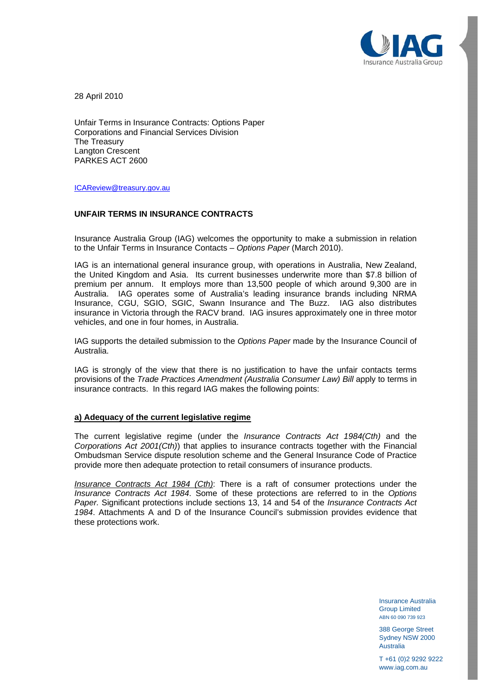

28 April 2010

Unfair Terms in Insurance Contracts: Options Paper Corporations and Financial Services Division The Treasury Langton Crescent PARKES ACT 2600

[ICAReview@treasury.gov.au](mailto:ICAReview@treasury.gov.au)

# **UNFAIR TERMS IN INSURANCE CONTRACTS**

Insurance Australia Group (IAG) welcomes the opportunity to make a submission in relation to the Unfair Terms in Insurance Contacts – *Options Paper* (March 2010).

IAG is an international general insurance group, with operations in Australia, New Zealand, the United Kingdom and Asia. Its current businesses underwrite more than \$7.8 billion of premium per annum. It employs more than 13,500 people of which around 9,300 are in Australia. IAG operates some of Australia's leading insurance brands including NRMA Insurance, CGU, SGIO, SGIC, Swann Insurance and The Buzz. IAG also distributes insurance in Victoria through the RACV brand. IAG insures approximately one in three motor vehicles, and one in four homes, in Australia.

IAG supports the detailed submission to the *Options Paper* made by the Insurance Council of Australia.

IAG is strongly of the view that there is no justification to have the unfair contacts terms provisions of the *Trade Practices Amendment (Australia Consumer Law) Bill* apply to terms in insurance contracts. In this regard IAG makes the following points:

#### **a) Adequacy of the current legislative regime**

The current legislative regime (under the *Insurance Contracts Act 1984(Cth)* and the *Corporations Act 2001(Cth)*) that applies to insurance contracts together with the Financial Ombudsman Service dispute resolution scheme and the General Insurance Code of Practice provide more then adequate protection to retail consumers of insurance products.

*Insurance Contracts Act 1984 (Cth)*: There is a raft of consumer protections under the *Insurance Contracts Act 1984*. Some of these protections are referred to in the *Options Paper.* Significant protections include sections 13, 14 and 54 of the *Insurance Contracts Act 1984*. Attachments A and D of the Insurance Council's submission provides evidence that these protections work.

> Insurance Australia Group Limited ABN 60 090 739 923

> 388 George Street Sydney NSW 2000 Australia

T +61 (0)2 9292 9222 www.iag.com.au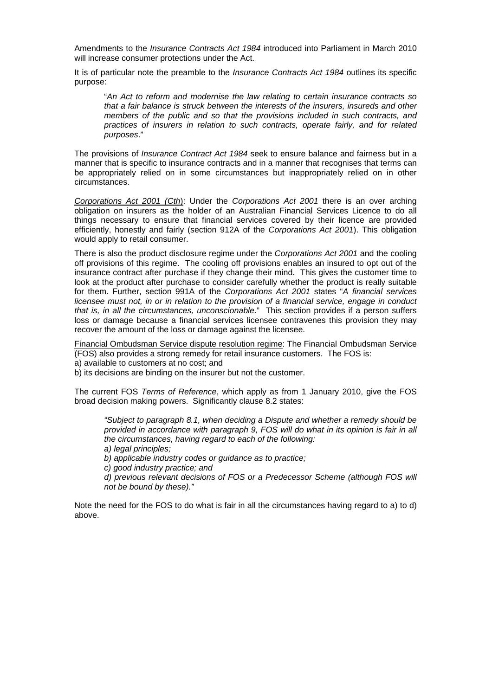Amendments to the *Insurance Contracts Act 1984* introduced into Parliament in March 2010 will increase consumer protections under the Act.

It is of particular note the preamble to the *Insurance Contracts Act 1984* outlines its specific purpose:

"*An Act to reform and modernise the law relating to certain insurance contracts so that a fair balance is struck between the interests of the insurers, insureds and other members of the public and so that the provisions included in such contracts, and practices of insurers in relation to such contracts, operate fairly, and for related purposes*."

The provisions of *Insurance Contract Act 1984* seek to ensure balance and fairness but in a manner that is specific to insurance contracts and in a manner that recognises that terms can be appropriately relied on in some circumstances but inappropriately relied on in other circumstances.

*Corporations Act 2001 (Cth*): Under the *Corporations Act 2001* there is an over arching obligation on insurers as the holder of an Australian Financial Services Licence to do all things necessary to ensure that financial services covered by their licence are provided efficiently, honestly and fairly (section 912A of the *Corporations Act 2001*). This obligation would apply to retail consumer.

There is also the product disclosure regime under the *Corporations Act 2001* and the cooling off provisions of this regime. The cooling off provisions enables an insured to opt out of the insurance contract after purchase if they change their mind. This gives the customer time to look at the product after purchase to consider carefully whether the product is really suitable for them. Further, section 991A of the *Corporations Act 2001* states "*A financial services licensee must not, in or in relation to the provision of a financial service, engage in conduct that is, in all the circumstances, unconscionable*." This section provides if a person suffers loss or damage because a financial services licensee contravenes this provision they may recover the amount of the loss or damage against the licensee.

Financial Ombudsman Service dispute resolution regime: The Financial Ombudsman Service (FOS) also provides a strong remedy for retail insurance customers. The FOS is:

a) available to customers at no cost; and

b) its decisions are binding on the insurer but not the customer.

The current FOS *Terms of Reference*, which apply as from 1 January 2010, give the FOS broad decision making powers. Significantly clause 8.2 states:

*"Subject to paragraph 8.1, when deciding a Dispute and whether a remedy should be provided in accordance with paragraph 9, FOS will do what in its opinion is fair in all the circumstances, having regard to each of the following:* 

*a) legal principles;* 

*b) applicable industry codes or guidance as to practice;* 

*c) good industry practice; and* 

*d) previous relevant decisions of FOS or a Predecessor Scheme (although FOS will not be bound by these)."* 

Note the need for the FOS to do what is fair in all the circumstances having regard to a) to d) above.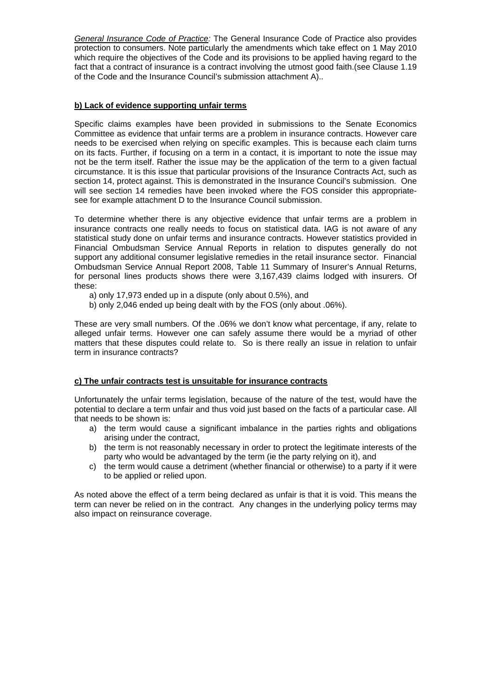*General Insurance Code of Practice:* The General Insurance Code of Practice also provides protection to consumers. Note particularly the amendments which take effect on 1 May 2010 which require the objectives of the Code and its provisions to be applied having regard to the fact that a contract of insurance is a contract involving the utmost good faith.(see Clause 1.19 of the Code and the Insurance Council's submission attachment A)..

# **b) Lack of evidence supporting unfair terms**

Specific claims examples have been provided in submissions to the Senate Economics Committee as evidence that unfair terms are a problem in insurance contracts. However care needs to be exercised when relying on specific examples. This is because each claim turns on its facts. Further, if focusing on a term in a contact, it is important to note the issue may not be the term itself. Rather the issue may be the application of the term to a given factual circumstance. It is this issue that particular provisions of the Insurance Contracts Act, such as section 14, protect against. This is demonstrated in the Insurance Council's submission. One will see section 14 remedies have been invoked where the FOS consider this appropriatesee for example attachment D to the Insurance Council submission.

To determine whether there is any objective evidence that unfair terms are a problem in insurance contracts one really needs to focus on statistical data. IAG is not aware of any statistical study done on unfair terms and insurance contracts. However statistics provided in Financial Ombudsman Service Annual Reports in relation to disputes generally do not support any additional consumer legislative remedies in the retail insurance sector. Financial Ombudsman Service Annual Report 2008, Table 11 Summary of Insurer's Annual Returns, for personal lines products shows there were 3,167,439 claims lodged with insurers. Of these:

- a) only 17,973 ended up in a dispute (only about 0.5%), and
- b) only 2,046 ended up being dealt with by the FOS (only about .06%).

These are very small numbers. Of the .06% we don't know what percentage, if any, relate to alleged unfair terms. However one can safely assume there would be a myriad of other matters that these disputes could relate to. So is there really an issue in relation to unfair term in insurance contracts?

#### **c) The unfair contracts test is unsuitable for insurance contracts**

Unfortunately the unfair terms legislation, because of the nature of the test, would have the potential to declare a term unfair and thus void just based on the facts of a particular case. All that needs to be shown is:

- a) the term would cause a significant imbalance in the parties rights and obligations arising under the contract,
- b) the term is not reasonably necessary in order to protect the legitimate interests of the party who would be advantaged by the term (ie the party relying on it), and
- c) the term would cause a detriment (whether financial or otherwise) to a party if it were to be applied or relied upon.

As noted above the effect of a term being declared as unfair is that it is void. This means the term can never be relied on in the contract. Any changes in the underlying policy terms may also impact on reinsurance coverage.